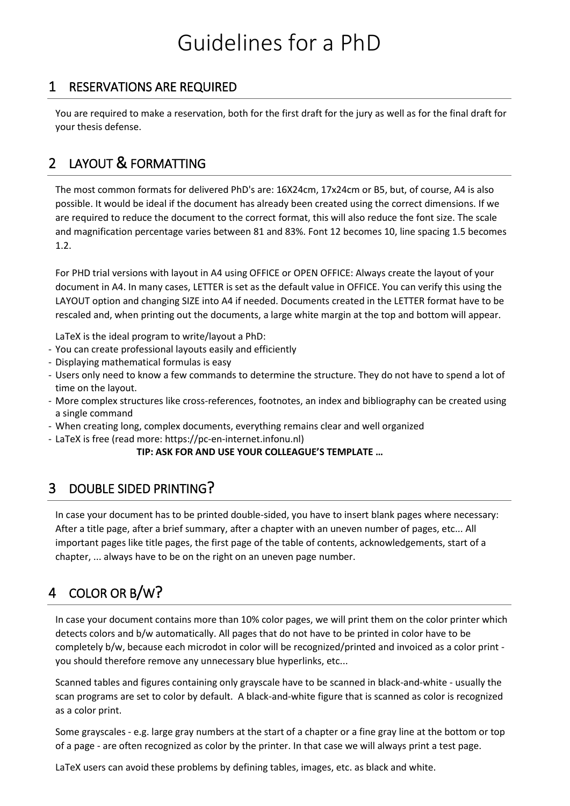# Guidelines for a PhD

#### 1 RESERVATIONS ARE REQUIRED

You are required to make a reservation, both for the first draft for the jury as well as for the final draft for your thesis defense.

## 2 LAYOUT & FORMATTING

The most common formats for delivered PhD's are: 16X24cm, 17x24cm or B5, but, of course, A4 is also possible. It would be ideal if the document has already been created using the correct dimensions. If we are required to reduce the document to the correct format, this will also reduce the font size. The scale and magnification percentage varies between 81 and 83%. Font 12 becomes 10, line spacing 1.5 becomes 1.2.

For PHD trial versions with layout in A4 using OFFICE or OPEN OFFICE: Always create the layout of your document in A4. In many cases, LETTER is set as the default value in OFFICE. You can verify this using the LAYOUT option and changing SIZE into A4 if needed. Documents created in the LETTER format have to be rescaled and, when printing out the documents, a large white margin at the top and bottom will appear.

LaTeX is the ideal program to write/layout a PhD:

- You can create professional layouts easily and efficiently
- Displaying mathematical formulas is easy
- Users only need to know a few commands to determine the structure. They do not have to spend a lot of time on the layout.
- More complex structures like cross-references, footnotes, an index and bibliography can be created using a single command
- When creating long, complex documents, everything remains clear and well organized
- LaTeX is free (read more: https://pc-en-internet.infonu.nl)

#### **TIP: ASK FOR AND USE YOUR COLLEAGUE'S TEMPLATE …**

#### 3 DOUBLE SIDED PRINTING?

In case your document has to be printed double-sided, you have to insert blank pages where necessary: After a title page, after a brief summary, after a chapter with an uneven number of pages, etc... All important pages like title pages, the first page of the table of contents, acknowledgements, start of a chapter, ... always have to be on the right on an uneven page number.

## 4 COLOR OR B/W?

In case your document contains more than 10% color pages, we will print them on the color printer which detects colors and b/w automatically. All pages that do not have to be printed in color have to be completely b/w, because each microdot in color will be recognized/printed and invoiced as a color print you should therefore remove any unnecessary blue hyperlinks, etc...

Scanned tables and figures containing only grayscale have to be scanned in black-and-white - usually the scan programs are set to color by default. A black-and-white figure that is scanned as color is recognized as a color print.

Some grayscales - e.g. large gray numbers at the start of a chapter or a fine gray line at the bottom or top of a page - are often recognized as color by the printer. In that case we will always print a test page.

LaTeX users can avoid these problems by defining tables, images, etc. as black and white.